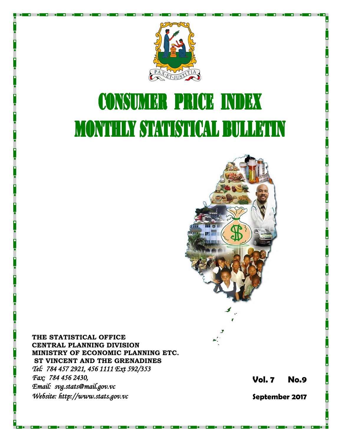

# **CONSUMER PRICE INDEX MONTHLY STATISTICAL BULLETIN**



**THE STATISTICAL OFFICE CENTRAL PLANNING DIVISION MINISTRY OF ECONOMIC PLANNING ETC. ST VINCENT AND THE GRENADINES** *Tel: 784 457 2921, 456 1111 Ext 592/353 Fax: 784 456 2430, Email: svg.stats@mail.gov.vc Website: http://www.stats.gov.vc* 

**Vol. 7 No.9** 

**September 2017**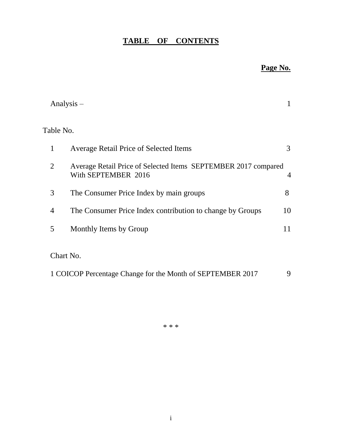# **TABLE OF CONTENTS**

## **Page No.**

|                | Analysis $-$                                                                          | 1  |
|----------------|---------------------------------------------------------------------------------------|----|
|                | Table No.                                                                             |    |
| 1              | <b>Average Retail Price of Selected Items</b>                                         | 3  |
| $\overline{2}$ | Average Retail Price of Selected Items SEPTEMBER 2017 compared<br>With SEPTEMBER 2016 | 4  |
| 3              | The Consumer Price Index by main groups                                               | 8  |
| 4              | The Consumer Price Index contribution to change by Groups                             | 10 |
| 5              | Monthly Items by Group                                                                | 11 |
|                | Chart No.                                                                             |    |
|                | 1 COICOP Percentage Change for the Month of SEPTEMBER 2017                            | 9  |

\* \* \*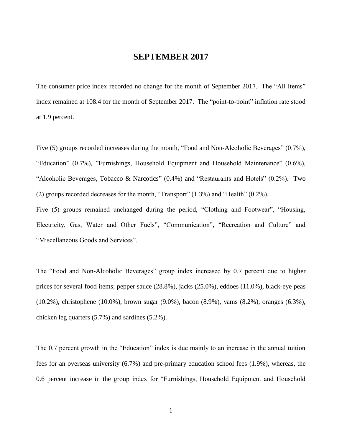### **SEPTEMBER 2017**

The consumer price index recorded no change for the month of September 2017. The "All Items" index remained at 108.4 for the month of September 2017. The "point-to-point" inflation rate stood at 1.9 percent.

Five (5) groups recorded increases during the month, "Food and Non-Alcoholic Beverages" (0.7%), "Education" (0.7%), "Furnishings, Household Equipment and Household Maintenance" (0.6%), "Alcoholic Beverages, Tobacco & Narcotics" (0.4%) and "Restaurants and Hotels" (0.2%). Two (2) groups recorded decreases for the month, "Transport" (1.3%) and "Health" (0.2%).

Five (5) groups remained unchanged during the period, "Clothing and Footwear", "Housing, Electricity, Gas, Water and Other Fuels", "Communication", "Recreation and Culture" and "Miscellaneous Goods and Services".

The "Food and Non-Alcoholic Beverages" group index increased by 0.7 percent due to higher prices for several food items; pepper sauce (28.8%), jacks (25.0%), eddoes (11.0%), black-eye peas (10.2%), christophene (10.0%), brown sugar (9.0%), bacon (8.9%), yams (8.2%), oranges (6.3%), chicken leg quarters (5.7%) and sardines (5.2%).

The 0.7 percent growth in the "Education" index is due mainly to an increase in the annual tuition fees for an overseas university (6.7%) and pre-primary education school fees (1.9%), whereas, the 0.6 percent increase in the group index for "Furnishings, Household Equipment and Household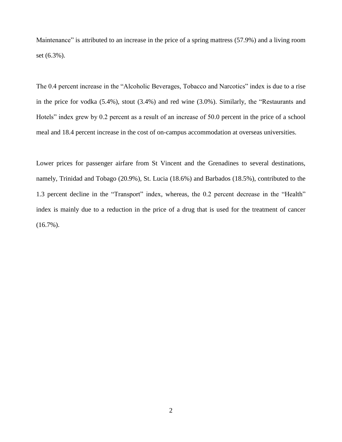Maintenance" is attributed to an increase in the price of a spring mattress (57.9%) and a living room set (6.3%).

The 0.4 percent increase in the "Alcoholic Beverages, Tobacco and Narcotics" index is due to a rise in the price for vodka (5.4%), stout (3.4%) and red wine (3.0%). Similarly, the "Restaurants and Hotels" index grew by 0.2 percent as a result of an increase of 50.0 percent in the price of a school meal and 18.4 percent increase in the cost of on-campus accommodation at overseas universities.

Lower prices for passenger airfare from St Vincent and the Grenadines to several destinations, namely, Trinidad and Tobago (20.9%), St. Lucia (18.6%) and Barbados (18.5%), contributed to the 1.3 percent decline in the "Transport" index, whereas, the 0.2 percent decrease in the "Health" index is mainly due to a reduction in the price of a drug that is used for the treatment of cancer  $(16.7\%)$ .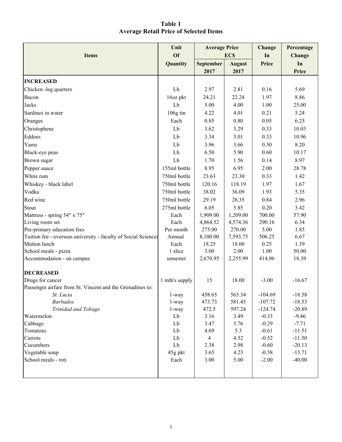| Table 1                                       |  |
|-----------------------------------------------|--|
| <b>Average Retail Price of Selected Items</b> |  |

|                                                                | Unit               | <b>Average Price</b> |               | Change       | Percentage |
|----------------------------------------------------------------|--------------------|----------------------|---------------|--------------|------------|
| <b>Items</b>                                                   | <b>Of</b>          |                      | EC\$          | In           | Change     |
|                                                                | Quantity           | <b>September</b>     | <b>August</b> | <b>Price</b> | In         |
|                                                                |                    | 2017                 | 2017          |              | Price      |
| <b>INCREASED</b>                                               |                    |                      |               |              |            |
| Chicken -leg quarters                                          | Lb                 | 2.97                 | 2.81          | 0.16         | 5.69       |
| Bacon                                                          | 16oz pkt           | 24.21                | 22.24         | 1.97         | 8.86       |
| Jacks                                                          | Lb                 | 5.00                 | 4.00          | 1.00         | 25.00      |
| Sardines in water                                              | $106g \text{ tin}$ | 4.22                 | 4.01          | 0.21         | 5.24       |
| Oranges                                                        | Each               | 0.85                 | 0.80          | 0.05         | 6.25       |
| Christophene                                                   | Lb                 | 3.62                 | 3.29          | 0.33         | 10.03      |
| Eddoes                                                         | Lb                 | 3.34                 | 3.01          | 0.33         | 10.96      |
| Yams                                                           | Lb                 | 3.96                 | 3.66          | 0.30         | 8.20       |
| Black-eye peas                                                 | Lb                 | 6.50                 | 5.90          | 0.60         | 10.17      |
| Brown sugar                                                    | Lb                 | 1.70                 | 1.56          | 0.14         | 8.97       |
| Pepper sauce                                                   | 155ml bottle       | 8.95                 | 6.95          | 2.00         | 28.78      |
| White rum                                                      | 750ml bottle       | 23.63                | 23.30         | 0.33         | 1.42       |
| Whiskey - black label                                          | 750ml bottle       | 120.16               | 118.19        | 1.97         | 1.67       |
| Vodka                                                          | 750ml bottle       | 38.02                | 36.09         | 1.93         | 5.35       |
| Red wine                                                       | 750ml bottle       | 29.19                | 28.35         | 0.84         | 2.96       |
| Stout                                                          | 275ml bottle       | 6.05                 | 5.85          | 0.20         | 3.42       |
| Mattress - spring 54" x 75"                                    | Each               | 1,909.00             | 1,209.00      | 700.00       | 57.90      |
| Living room set                                                | Each               | 4,864.52             | 4,574.36      | 290.16       | 6.34       |
| Pre-primary education fees                                     | Per month          | 275.00               | 270.00        | 5.00         | 1.85       |
| Tuition fee - overseas university - faculty of Social Sciences | Annual             | 8,100.00             | 7,593.75      | 506.25       | 6.67       |
| Mutton lunch                                                   | Each               | 18.25                | 18.00         | 0.25         | 1.39       |
| School meals - pizza                                           | 1 slice            | 3.00                 | 2.00          | 1.00         | 50.00      |
| Accommodation - on campus                                      | semester           | 2,670.95             | 2,255.99      | 414.96       | 18.39      |
| <b>DECREASED</b>                                               |                    |                      |               |              |            |
| Drugs for cancer                                               | 1 mth's supply     | 15                   | 18.00         | $-3.00$      | $-16.67$   |
| Passenger airfare from St. Vincent and the Grenadines to:      |                    |                      |               |              |            |
| St. Lucia                                                      | 1-way              | 458.65               | 563.34        | $-104.69$    | $-18.58$   |
| <b>Barbados</b>                                                | $1$ -way           | 473.73               | 581.45        | $-107.72$    | $-18.53$   |
| Trinidad and Tobago                                            | $1$ -way           | 472.5                | 597.24        | $-124.74$    | $-20.89$   |
| Watermelon                                                     | Lb                 | 3.16                 | 3.49          | $-0.33$      | $-9.46$    |
| Cabbage                                                        | Lb                 | 3.47                 | 3.76          | $-0.29$      | $-7.71$    |
| Tomatoes                                                       | Lb                 | 4.69                 | 5.3           | $-0.61$      | $-11.51$   |
| Carrots                                                        | Lb                 | $\overline{4}$       | 4.52          | $-0.52$      | $-11.50$   |
| Cucumbers                                                      | Lb                 | 2.38                 | 2.98          | $-0.60$      | $-20.13$   |
| Vegetable soup<br>School meals - roti                          | 45g pkt            | 3.65                 | 4.23          | $-0.58$      | $-13.71$   |
|                                                                | Each               | 3.00                 | 5.00          | $-2.00$      | $-40.00$   |
|                                                                |                    |                      |               |              |            |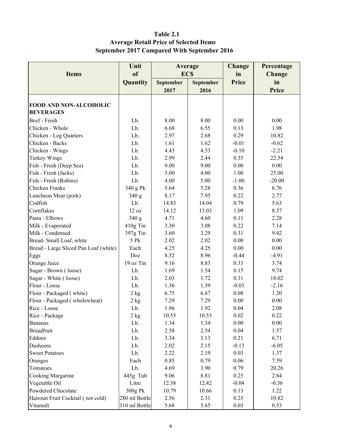## Table 2.1 Average Retail Price of Selected Items September 2017 Compared With September 2016

| Unit                                  |               | Average    |                  | <b>Change</b> | Percentage    |
|---------------------------------------|---------------|------------|------------------|---------------|---------------|
| <b>Items</b>                          | of            | <b>ECS</b> |                  | in            | <b>Change</b> |
|                                       | Quantity      | September  | <b>September</b> | <b>Price</b>  | in            |
|                                       |               | 2017       | 2016             |               | <b>Price</b>  |
|                                       |               |            |                  |               |               |
| <b>FOOD AND NON-ALCOHOLIC</b>         |               |            |                  |               |               |
| <b>BEVERAGES</b>                      |               |            |                  |               |               |
| Beef - Fresh                          | Lb.           | 8.00       | 8.00             | 0.00          | 0.00          |
| Chicken - Whole                       | Lb.           | 6.68       | 6.55             | 0.13          | 1.98          |
| Chicken - Leg Quarters                | Lb.           | 2.97       | 2.68             | 0.29          | 10.82         |
| Chicken - Backs                       | Lb.           | 1.61       | 1.62             | $-0.01$       | $-0.62$       |
| Chicken - Wings                       | Lb.           | 4.43       | 4.53             | $-0.10$       | $-2.21$       |
| <b>Turkey Wings</b>                   | Lb.           | 2.99       | 2.44             | 0.55          | 22.54         |
| Fish - Fresh (Deep Sea)               | Lb.           | 9.00       | 9.00             | 0.00          | 0.00          |
| Fish - Fresh (Jacks)                  | Lb.           | 5.00       | 4.00             | 1.00          | 25.00         |
| Fish - Fresh (Robins)                 | Lb.           | 4.00       | 5.00             | $-1.00$       | $-20.00$      |
| Chicken Franks                        |               | 5.64       | 5.28             | 0.36          | 6.76          |
|                                       | 340 g Pk      |            |                  |               |               |
| Luncheon Meat (pork)                  | 340 g         | 8.17       | 7.95             | 0.22          | 2.77          |
| Codfish                               | Lb.           | 14.83      | 14.04            | 0.79          | 5.63          |
| Cornflakes                            | 12 oz         | 14.12      | 13.03            | 1.09          | 8.37          |
| Pasta - Elbows                        | 340 g         | 4.71       | 4.60             | 0.11          | 2.28          |
| Milk - Evaporated                     | 410g Tin      | 3.30       | 3.08             | 0.22          | 7.14          |
| Milk - Condensed                      | 397g Tin      | 3.60       | 3.29             | 0.31          | 9.42          |
| Bread-Small Loaf, white               | 5 Pk          | 2.02       | 2.02             | 0.00          | 0.00          |
| Bread - Large Sliced Pan Loaf (white) | Each          | 4.25       | 4.25             | 0.00          | 0.00          |
| Eggs                                  | Doz           | 8.52       | 8.96             | $-0.44$       | $-4.91$       |
| Orange Juice                          | 19 oz Tin     | 9.16       | 8.83             | 0.33          | 3.74          |
| Sugar - Brown (loose)                 | Lb.           | 1.69       | 1.54             | 0.15          | 9.74          |
| Sugar - White (loose)                 | Lb.           | 2.03       | 1.72             | 0.31          | 18.02         |
| Flour - Loose                         | Lb.           | 1.36       | 1.39             | $-0.03$       | $-2.16$       |
| Flour - Packaged (white)              | 2 kg          | 6.75       | 6.67             | 0.08          | 1.20          |
| Flour - Packaged (wholewheat)         | 2 kg          | 7.29       | 7.29             | 0.00          | 0.00          |
| Rice - Loose                          | Lb.           | 1.96       | 1.92             | 0.04          | 2.08          |
| Rice - Package                        | 2 kg          | 10.55      | 10.53            | 0.02          | 0.22          |
| <b>Bananas</b>                        | Lb.           | 1.34       | 1.34             | 0.00          | 0.00          |
| <b>Breadfruit</b>                     | Lb.           | 2.58       | 2.54             | 0.04          | 1.57          |
| Eddoes                                | Lb.           | 3.34       | 3.13             | 0.21          | 6.71          |
| Dasheens                              | Lb.           | 2.02       | 2.15             | $-0.13$       | $-6.05$       |
| <b>Sweet Potatoes</b>                 | Lb.           | 2.22       | 2.19             | 0.03          | 1.37          |
| Oranges                               | Each          | 0.85       | 0.79             | 0.06          | 7.59          |
| Tomatoes                              | Lb.           | 4.69       | 3.90             | 0.79          | 20.26         |
| Cooking Margarine                     | 445g Tub      | 9.06       | 8.81             | 0.25          | 2.84          |
| Vegetable Oil                         | Litre         | 12.38      | 12.42            | $-0.04$       | $-0.36$       |
| Powdered Chocolate                    | 300g Pk       | 10.79      | 10.66            | 0.13          | 1.22          |
| Hairoun Fruit Cocktail (not cold)     | 280 ml Bottle | 2.56       | 2.31             | 0.25          | 10.82         |
| Vitamalt                              | 310 ml Bottle | 5.68       | 5.65             | 0.03          | 0.53          |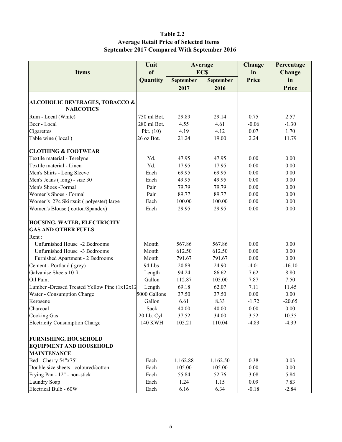### Table 2.2 Average Retail Price of Selected Items September 2017 Compared With September 2016

|                                              | Unit                   | Average   |            |                     | Percentage    |
|----------------------------------------------|------------------------|-----------|------------|---------------------|---------------|
| <b>Items</b>                                 | <sub>of</sub>          |           | <b>ECS</b> | <b>Change</b><br>in | <b>Change</b> |
|                                              | Quantity               | September | September  | Price               | in            |
|                                              |                        | 2017      | 2016       |                     | <b>Price</b>  |
|                                              |                        |           |            |                     |               |
| <b>ALCOHOLIC BEVERAGES, TOBACCO &amp;</b>    |                        |           |            |                     |               |
| <b>NARCOTICS</b>                             |                        |           |            |                     |               |
| Rum - Local (White)                          | 750 ml Bot.            | 29.89     | 29.14      | 0.75                | 2.57          |
| Beer - Local                                 | 280 ml Bot.            | 4.55      | 4.61       | $-0.06$             | $-1.30$       |
| Cigarettes                                   | Pkt. $(10)$            | 4.19      | 4.12       | 0.07                | 1.70          |
| Table wine (local)                           | 26 oz Bot.             | 21.24     | 19.00      | 2.24                | 11.79         |
| <b>CLOTHING &amp; FOOTWEAR</b>               |                        |           |            |                     |               |
| Textile material - Terelyne                  | Yd.                    | 47.95     | 47.95      | 0.00                | 0.00          |
| Textile material - Linen                     | Yd.                    | 17.95     | 17.95      | 0.00                | 0.00          |
| Men's Shirts - Long Sleeve                   | Each                   | 69.95     | 69.95      | 0.00                | 0.00          |
| Men's Jeans (long) - size 30                 | Each                   | 49.95     | 49.95      | 0.00                | 0.00          |
| Men's Shoes -Formal                          | Pair                   | 79.79     | 79.79      | 0.00                | $0.00\,$      |
| Women's Shoes - Formal                       | Pair                   | 89.77     | 89.77      | 0.00                | 0.00          |
| Women's 2Pc Skirtsuit (polyester) large      | Each                   | 100.00    | 100.00     | 0.00                | 0.00          |
| Women's Blouse (cotton/Spandex)              | Each                   | 29.95     | 29.95      | 0.00                | 0.00          |
| HOUSING, WATER, ELECTRICITY                  |                        |           |            |                     |               |
| <b>GAS AND OTHER FUELS</b>                   |                        |           |            |                     |               |
| Rent:                                        |                        |           |            |                     |               |
| Unfurnished House -2 Bedrooms                | Month                  | 567.86    | 567.86     | 0.00                | 0.00          |
| Unfurnished House -3 Bedrooms                | Month                  | 612.50    | 612.50     | 0.00                | 0.00          |
| Furnished Apartment - 2 Bedrooms             | Month                  | 791.67    | 791.67     | 0.00                | 0.00          |
| Cement - Portland (grey)                     | 94 Lbs                 | 20.89     | 24.90      | $-4.01$             | $-16.10$      |
| Galvanise Sheets 10 ft.                      |                        | 94.24     | 86.62      | 7.62                | 8.80          |
| Oil Paint                                    | Length<br>Gallon       | 112.87    | 105.00     | 7.87                | 7.50          |
|                                              |                        |           | 62.07      | 7.11                |               |
| Lumber -Dressed Treated Yellow Pine (1x12x12 | Length<br>5000 Gallons | 69.18     |            |                     | 11.45         |
| Water - Consumption Charge                   |                        | 37.50     | 37.50      | 0.00                | $0.00\,$      |
| Kerosene                                     | Gallon                 | 6.61      | 8.33       | $-1.72$             | $-20.65$      |
| Charcoal                                     | Sack                   | 40.00     | 40.00      | 0.00                | 0.00          |
| Cooking Gas                                  | 20 Lb. Cyl.            | 37.52     | 34.00      | 3.52                | 10.35         |
| <b>Electricity Consumption Charge</b>        | <b>140 KWH</b>         | 105.21    | 110.04     | $-4.83$             | $-4.39$       |
| <b>FURNISHING, HOUSEHOLD</b>                 |                        |           |            |                     |               |
| <b>EQUIPMENT AND HOUSEHOLD</b>               |                        |           |            |                     |               |
| <b>MAINTENANCE</b>                           |                        |           |            |                     |               |
| Bed - Cherry 54"x75"                         | Each                   | 1,162.88  | 1,162.50   | 0.38                | 0.03          |
| Double size sheets - coloured/cotton         | Each                   | 105.00    | 105.00     | 0.00                | 0.00          |
| Frying Pan - 12" - non-stick                 | Each                   | 55.84     | 52.76      | 3.08                | 5.84          |
| Laundry Soap                                 | Each                   | 1.24      | 1.15       | 0.09                | 7.83          |
| Electrical Bulb - 60W                        | Each                   | 6.16      | 6.34       | $-0.18$             | $-2.84$       |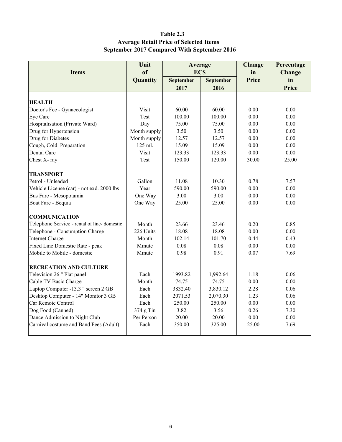### Table 2.3 Average Retail Price of Selected Items September 2017 Compared With September 2016

|                                              | Unit         | Average        |           | Change | Percentage    |
|----------------------------------------------|--------------|----------------|-----------|--------|---------------|
| <b>Items</b>                                 | of           | <b>ECS</b>     |           | in     | <b>Change</b> |
|                                              | Quantity     | September      | September | Price  | in            |
|                                              |              | 2017           | 2016      |        | Price         |
|                                              |              |                |           |        |               |
| <b>HEALTH</b>                                |              |                |           |        |               |
| Doctor's Fee - Gynaecologist                 | Visit        | 60.00          | 60.00     | 0.00   | 0.00          |
| Eye Care                                     | Test         | 100.00         | 100.00    | 0.00   | 0.00          |
| Hospitalisation (Private Ward)               | Day          | 75.00          | 75.00     | 0.00   | 0.00          |
| Drug for Hypertension                        | Month supply | 3.50           | 3.50      | 0.00   | 0.00          |
| Drug for Diabetes                            | Month supply | 12.57          | 12.57     | 0.00   | 0.00          |
| Cough, Cold Preparation                      | 125 ml.      | 15.09          | 15.09     | 0.00   | 0.00          |
| Dental Care                                  | Visit        | 123.33         | 123.33    | 0.00   | 0.00          |
| Chest X-ray                                  | Test         | 150.00         | 120.00    | 30.00  | 25.00         |
| <b>TRANSPORT</b>                             |              |                |           |        |               |
| Petrol - Unleaded                            | Gallon       | 11.08<br>10.30 |           | 0.78   | 7.57          |
| Vehicle License (car) - not exd. 2000 lbs    | Year         | 590.00         | 590.00    |        | 0.00          |
| Bus Fare - Mesopotamia                       | One Way      | 3.00           | 3.00      |        | 0.00          |
| Boat Fare - Bequia                           | One Way      | 25.00          | 25.00     | 0.00   | 0.00          |
| <b>COMMUNICATION</b>                         |              |                |           |        |               |
| Telephone Service - rental of line- domestic | Month        | 23.66          | 23.46     | 0.20   | 0.85          |
| Telephone - Consumption Charge               | 226 Units    | 18.08          | 18.08     | 0.00   | 0.00          |
| <b>Internet Charge</b>                       | Month        | 102.14         | 101.70    | 0.44   | 0.43          |
| Fixed Line Domestic Rate - peak              | Minute       | 0.08           | 0.08      | 0.00   | 0.00          |
| Mobile to Mobile - domestic                  | Minute       | 0.98           | 0.91      | 0.07   | 7.69          |
| <b>RECREATION AND CULTURE</b>                |              |                |           |        |               |
| Television 26 " Flat panel                   | Each         | 1993.82        | 1,992.64  | 1.18   | 0.06          |
| Cable TV Basic Charge                        | Month        | 74.75          | 74.75     | 0.00   | 0.00          |
| Laptop Computer -13.3 " screen 2 GB          | Each         | 3832.40        | 3,830.12  | 2.28   | 0.06          |
| Desktop Computer - 14" Monitor 3 GB          | Each         | 2071.53        | 2,070.30  | 1.23   | 0.06          |
| Car Remote Control                           | Each         | 250.00         | 250.00    | 0.00   | 0.00          |
| Dog Food (Canned)                            | 374 g Tin    | 3.82           | 3.56      | 0.26   | 7.30          |
| Dance Admission to Night Club                | Per Person   | 20.00          | 20.00     | 0.00   | 0.00          |
| Carnival costume and Band Fees (Adult)       | Each         | 350.00         | 325.00    | 25.00  | 7.69          |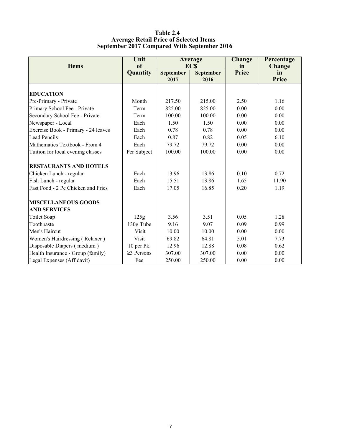#### Table 2.4 Average Retail Price of Selected Items September 2017 Compared With September 2016

| <b>Items</b>                        | Unit<br><sub>of</sub> |                  | Average<br><b>ECS</b> | <b>Change</b><br>in | Percentage<br><b>Change</b> |
|-------------------------------------|-----------------------|------------------|-----------------------|---------------------|-----------------------------|
|                                     | Quantity              | <b>September</b> | <b>September</b>      | Price               | in                          |
|                                     |                       | 2017             | 2016                  |                     | <b>Price</b>                |
|                                     |                       |                  |                       |                     |                             |
| <b>EDUCATION</b>                    |                       |                  |                       |                     |                             |
| Pre-Primary - Private               | Month                 | 217.50           | 215.00                | 2.50                | 1.16                        |
| Primary School Fee - Private        | Term                  | 825.00           | 825.00                | 0.00                | 0.00                        |
| Secondary School Fee - Private      | Term                  | 100.00           | 100.00                | 0.00                | 0.00                        |
| Newspaper - Local                   | Each                  | 1.50             | 1.50                  | 0.00                | 0.00                        |
| Exercise Book - Primary - 24 leaves | Each                  | 0.78             | 0.78                  | 0.00                | 0.00                        |
| <b>Lead Pencils</b>                 | Each                  | 0.87             | 0.82                  | 0.05                | 6.10                        |
| Mathematics Textbook - From 4       | Each                  | 79.72            | 79.72                 | 0.00                | 0.00                        |
| Tuition for local evening classes   | Per Subject           | 100.00           | 100.00                | 0.00                | 0.00                        |
| <b>RESTAURANTS AND HOTELS</b>       |                       |                  |                       |                     |                             |
| Chicken Lunch - regular             | Each                  | 13.96            | 13.86                 | 0.10                | 0.72                        |
| Fish Lunch - regular                | Each                  | 15.51            | 13.86                 | 1.65                | 11.90                       |
| Fast Food - 2 Pc Chicken and Fries  | Each                  | 17.05            | 16.85                 | 0.20                | 1.19                        |
| <b>MISCELLANEOUS GOODS</b>          |                       |                  |                       |                     |                             |
| <b>AND SERVICES</b>                 |                       |                  |                       |                     |                             |
| <b>Toilet Soap</b>                  | 125g                  | 3.56             | 3.51                  | 0.05                | 1.28                        |
| Toothpaste                          | 130g Tube             | 9.16             | 9.07                  | 0.09                | 0.99                        |
| Men's Haircut                       | <b>Visit</b>          | 10.00            | 10.00                 | 0.00                | 0.00                        |
| Women's Hairdressing (Relaxer)      | Visit                 | 69.82            | 64.81                 | 5.01                | 7.73                        |
| Disposable Diapers (medium)         | 10 per Pk.            | 12.96            | 12.88                 | 0.08                | 0.62                        |
| Health Insurance - Group (family)   | $\geq$ 3 Persons      | 307.00           | 307.00                | 0.00                | 0.00                        |
| Legal Expenses (Affidavit)          | Fee                   | 250.00           | 250.00                | 0.00                | 0.00                        |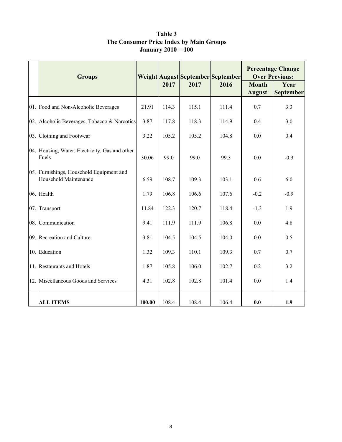| Table 3                                 |  |
|-----------------------------------------|--|
| The Consumer Price Index by Main Groups |  |
| <b>January 2010 = 100</b>               |  |

| <b>Groups</b>                                                     | Weight August September September |       |       |       | <b>Percentage Change</b><br><b>Over Previous:</b> |                   |  |
|-------------------------------------------------------------------|-----------------------------------|-------|-------|-------|---------------------------------------------------|-------------------|--|
|                                                                   |                                   | 2017  | 2017  | 2016  | <b>Month</b><br><b>August</b>                     | Year<br>September |  |
| 01. Food and Non-Alcoholic Beverages                              | 21.91                             | 114.3 | 115.1 | 111.4 | 0.7                                               | 3.3               |  |
| 02. Alcoholic Beverages, Tobacco & Narcotics                      | 3.87                              | 117.8 | 118.3 | 114.9 | 0.4                                               | 3.0               |  |
| 03. Clothing and Footwear                                         | 3.22                              | 105.2 | 105.2 | 104.8 | 0.0                                               | 0.4               |  |
| 04. Housing, Water, Electricity, Gas and other<br>Fuels           | 30.06                             | 99.0  | 99.0  | 99.3  | 0.0                                               | $-0.3$            |  |
| 05. Furnishings, Household Equipment and<br>Household Maintenance |                                   | 108.7 | 109.3 | 103.1 | 0.6                                               | 6.0               |  |
| 06. Health                                                        | 1.79                              | 106.8 | 106.6 | 107.6 | $-0.2$                                            | $-0.9$            |  |
| 07. Transport                                                     | 11.84                             | 122.3 | 120.7 | 118.4 | $-1.3$                                            | 1.9               |  |
| 08. Communication                                                 | 9.41                              | 111.9 | 111.9 | 106.8 | 0.0                                               | 4.8               |  |
| 09. Recreation and Culture                                        | 3.81                              | 104.5 | 104.5 | 104.0 | 0.0                                               | 0.5               |  |
| 10. Education                                                     | 1.32                              | 109.3 | 110.1 | 109.3 | 0.7                                               | 0.7               |  |
| 11. Restaurants and Hotels                                        | 1.87                              | 105.8 | 106.0 | 102.7 | 0.2                                               | 3.2               |  |
| 12. Miscellaneous Goods and Services                              | 4.31                              | 102.8 | 102.8 | 101.4 | 0.0                                               | 1.4               |  |
| <b>ALL ITEMS</b>                                                  | 100.00                            | 108.4 | 108.4 | 106.4 | 0.0                                               | 1.9               |  |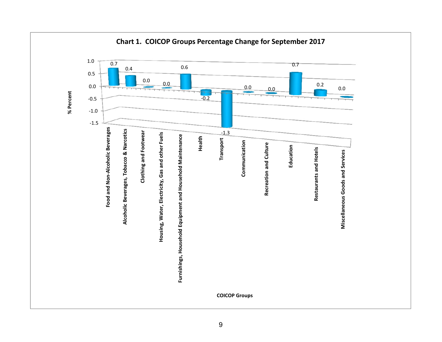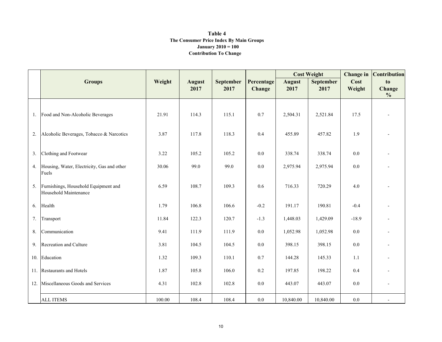#### Contribution To Change Table 4 The Consumer Price Index By Main GroupsJanuary 2010 = 100

|    |                                                               |        |                       |                   |                      |                       | <b>Cost Weight</b>       |                | <b>Change in Contribution</b> |
|----|---------------------------------------------------------------|--------|-----------------------|-------------------|----------------------|-----------------------|--------------------------|----------------|-------------------------------|
|    | <b>Groups</b>                                                 | Weight | <b>August</b><br>2017 | September<br>2017 | Percentage<br>Change | <b>August</b><br>2017 | <b>September</b><br>2017 | Cost<br>Weight | to<br>Change<br>$\frac{6}{6}$ |
|    | 1. Food and Non-Alcoholic Beverages                           | 21.91  | 114.3                 | 115.1             | 0.7                  | 2,504.31              | 2,521.84                 | 17.5           |                               |
| 2. | Alcoholic Beverages, Tobacco & Narcotics                      | 3.87   | 117.8                 | 118.3             | 0.4                  | 455.89                | 457.82                   | 1.9            |                               |
|    | 3. Clothing and Footwear                                      | 3.22   | 105.2                 | 105.2             | $0.0\,$              | 338.74                | 338.74                   | 0.0            |                               |
|    | 4. Housing, Water, Electricity, Gas and other<br>Fuels        | 30.06  | 99.0                  | 99.0              | 0.0                  | 2,975.94              | 2,975.94                 | 0.0            |                               |
| 5. | Furnishings, Household Equipment and<br>Household Maintenance | 6.59   | 108.7                 | 109.3             | 0.6                  | 716.33                | 720.29                   | 4.0            |                               |
|    | 6. Health                                                     | 1.79   | 106.8                 | 106.6             | $-0.2$               | 191.17                | 190.81                   | $-0.4$         |                               |
| 7. | Transport                                                     | 11.84  | 122.3                 | 120.7             | $-1.3$               | 1,448.03              | 1,429.09                 | $-18.9$        |                               |
| 8. | Communication                                                 | 9.41   | 111.9                 | 111.9             | $0.0\,$              | 1,052.98              | 1,052.98                 | $0.0\,$        |                               |
|    | 9. Recreation and Culture                                     | 3.81   | 104.5                 | 104.5             | $0.0\,$              | 398.15                | 398.15                   | 0.0            |                               |
|    | 10. Education                                                 | 1.32   | 109.3                 | 110.1             | 0.7                  | 144.28                | 145.33                   | 1.1            |                               |
|    | 11. Restaurants and Hotels                                    | 1.87   | 105.8                 | 106.0             | $0.2\,$              | 197.85                | 198.22                   | 0.4            |                               |
|    | 12. Miscellaneous Goods and Services                          | 4.31   | 102.8                 | 102.8             | $0.0\,$              | 443.07                | 443.07                   | 0.0            |                               |
|    | <b>ALL ITEMS</b>                                              | 100.00 | 108.4                 | 108.4             | $0.0\,$              | 10,840.00             | 10,840.00                | $0.0\,$        |                               |